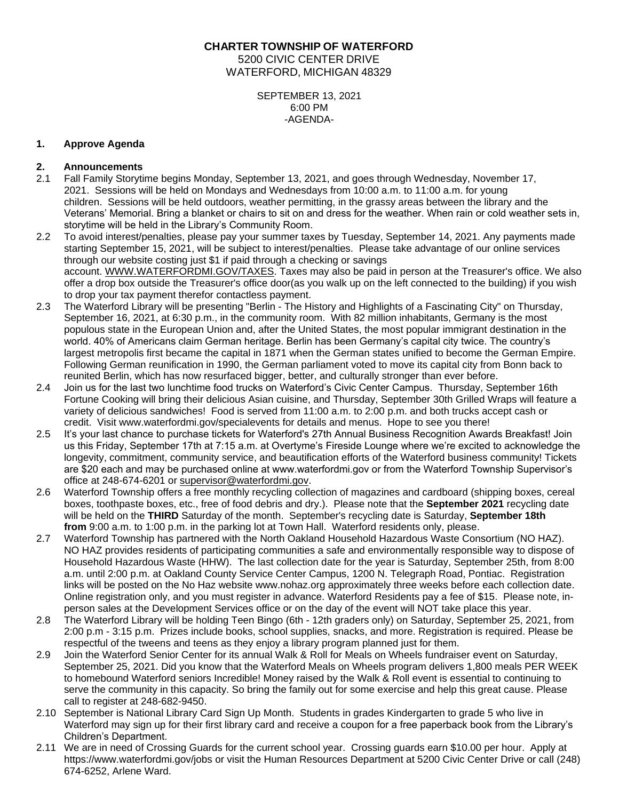**CHARTER TOWNSHIP OF WATERFORD** 5200 CIVIC CENTER DRIVE WATERFORD, MICHIGAN 48329

> SEPTEMBER 13, 2021 6:00 PM -AGENDA-

# **1. Approve Agenda**

# **2. Announcements**

- 2.1 Fall Family Storytime begins Monday, September 13, 2021, and goes through Wednesday, November 17, 2021. Sessions will be held on Mondays and Wednesdays from 10:00 a.m. to 11:00 a.m. for young children. Sessions will be held outdoors, weather permitting, in the grassy areas between the library and the Veterans' Memorial. Bring a blanket or chairs to sit on and dress for the weather. When rain or cold weather sets in, storytime will be held in the Library's Community Room.
- 2.2 To avoid interest/penalties, please pay your summer taxes by Tuesday, September 14, 2021. Any payments made starting September 15, 2021, will be subject to interest/penalties. Please take advantage of our online services through our website costing just \$1 if paid through a checking or savings account. [WWW.WATERFORDMI.GOV/TAXES.](https://www.waterfordmi.gov/taxes) Taxes may also be paid in person at the Treasurer's office. We also offer a drop box outside the Treasurer's office door(as you walk up on the left connected to the building) if you wish to drop your tax payment therefor contactless payment.
- 2.3 The Waterford Library will be presenting "Berlin The History and Highlights of a Fascinating City" on Thursday, September 16, 2021, at 6:30 p.m., in the community room. With 82 million inhabitants, Germany is the most populous state in the European Union and, after the United States, the most popular immigrant destination in the world. 40% of Americans claim German heritage. Berlin has been Germany's capital city twice. The country's largest metropolis first became the capital in 1871 when the German states unified to become the German Empire. Following German reunification in 1990, the German parliament voted to move its capital city from Bonn back to reunited Berlin, which has now resurfaced bigger, better, and culturally stronger than ever before.
- 2.4 Join us for the last two lunchtime food trucks on Waterford's Civic Center Campus. Thursday, September 16th Fortune Cooking will bring their delicious Asian cuisine, and Thursday, September 30th Grilled Wraps will feature a variety of delicious sandwiches! Food is served from 11:00 a.m. to 2:00 p.m. and both trucks accept cash or credit. Visit www.waterfordmi.gov/specialevents for details and menus. Hope to see you there!
- 2.5 It's your last chance to purchase tickets for Waterford's 27th Annual Business Recognition Awards Breakfast! Join us this Friday, September 17th at 7:15 a.m. at Overtyme's Fireside Lounge where we're excited to acknowledge the longevity, commitment, community service, and beautification efforts of the Waterford business community! Tickets are \$20 each and may be purchased online at www.waterfordmi.gov or from the Waterford Township Supervisor's office at 248-674-6201 or [supervisor@waterfordmi.gov.](mailto:supervisor@waterfordmi.gov)
- 2.6 Waterford Township offers a free monthly recycling collection of magazines and cardboard (shipping boxes, cereal boxes, toothpaste boxes, etc., free of food debris and dry.). Please note that the **September 2021** recycling date will be held on the **THIRD** Saturday of the month. September's recycling date is Saturday, **September 18th from** 9:00 a.m. to 1:00 p.m. in the parking lot at Town Hall. Waterford residents only, please.
- 2.7 Waterford Township has partnered with the North Oakland Household Hazardous Waste Consortium (NO HAZ). NO HAZ provides residents of participating communities a safe and environmentally responsible way to dispose of Household Hazardous Waste (HHW). The last collection date for the year is Saturday, September 25th, from 8:00 a.m. until 2:00 p.m. at Oakland County Service Center Campus, 1200 N. Telegraph Road, Pontiac. Registration links will be posted on the No Haz website www.nohaz.org approximately three weeks before each collection date. Online registration only, and you must register in advance. Waterford Residents pay a fee of \$15. Please note, inperson sales at the Development Services office or on the day of the event will NOT take place this year.
- 2.8 The Waterford Library will be holding Teen Bingo (6th 12th graders only) on Saturday, September 25, 2021, from 2:00 p.m - 3:15 p.m. Prizes include books, school supplies, snacks, and more. Registration is required. Please be respectful of the tweens and teens as they enjoy a library program planned just for them.
- 2.9 Join the Waterford Senior Center for its annual Walk & Roll for Meals on Wheels fundraiser event on Saturday, September 25, 2021. Did you know that the Waterford Meals on Wheels program delivers 1,800 meals PER WEEK to homebound Waterford seniors Incredible! Money raised by the Walk & Roll event is essential to continuing to serve the community in this capacity. So bring the family out for some exercise and help this great cause. Please call to register at 248-682-9450.
- 2.10 September is National Library Card Sign Up Month. Students in grades Kindergarten to grade 5 who live in Waterford may sign up for their first library card and receive a coupon for a free paperback book from the Library's Children's Department.
- 2.11 We are in need of Crossing Guards for the current school year. Crossing guards earn \$10.00 per hour. Apply at https://www.waterfordmi.gov/jobs or visit the Human Resources Department at 5200 Civic Center Drive or call (248) 674-6252, Arlene Ward.